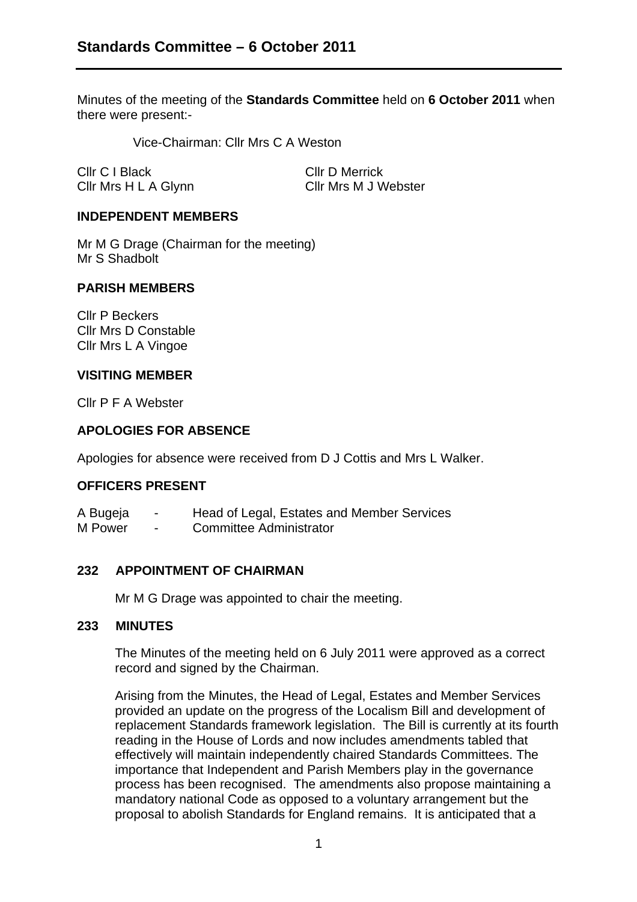Minutes of the meeting of the **Standards Committee** held on **6 October 2011** when there were present:-

Vice-Chairman: Cllr Mrs C A Weston

Cllr C I Black Cllr D Merrick

Cllr Mrs H L A Glynn Cllr Mrs M J Webster

# **INDEPENDENT MEMBERS**

Mr M G Drage (Chairman for the meeting) Mr S Shadbolt

# **PARISH MEMBERS**

Cllr P Beckers Cllr Mrs D Constable Cllr Mrs L A Vingoe

### **VISITING MEMBER**

Cllr P F A Webster

### **APOLOGIES FOR ABSENCE**

Apologies for absence were received from D J Cottis and Mrs L Walker.

#### **OFFICERS PRESENT**

A Bugeja - Head of Legal, Estates and Member Services

M Power - Committee Administrator

# **232 APPOINTMENT OF CHAIRMAN**

Mr M G Drage was appointed to chair the meeting.

#### **233 MINUTES**

The Minutes of the meeting held on 6 July 2011 were approved as a correct record and signed by the Chairman.

Arising from the Minutes, the Head of Legal, Estates and Member Services provided an update on the progress of the Localism Bill and development of replacement Standards framework legislation. The Bill is currently at its fourth reading in the House of Lords and now includes amendments tabled that effectively will maintain independently chaired Standards Committees. The importance that Independent and Parish Members play in the governance process has been recognised. The amendments also propose maintaining a mandatory national Code as opposed to a voluntary arrangement but the proposal to abolish Standards for England remains. It is anticipated that a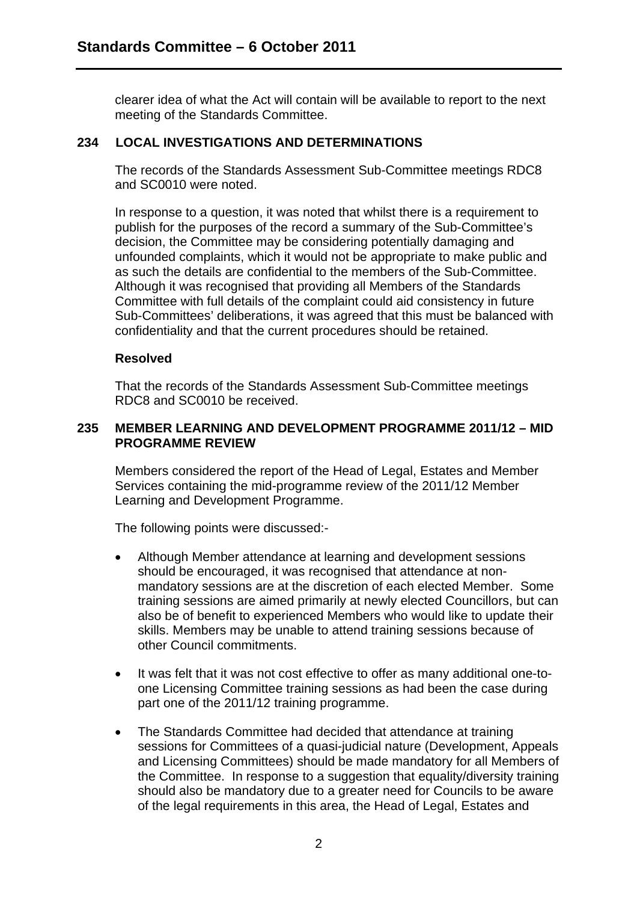clearer idea of what the Act will contain will be available to report to the next meeting of the Standards Committee.

# **234 LOCAL INVESTIGATIONS AND DETERMINATIONS**

The records of the Standards Assessment Sub-Committee meetings RDC8 and SC0010 were noted.

In response to a question, it was noted that whilst there is a requirement to publish for the purposes of the record a summary of the Sub-Committee's decision, the Committee may be considering potentially damaging and unfounded complaints, which it would not be appropriate to make public and as such the details are confidential to the members of the Sub-Committee. Although it was recognised that providing all Members of the Standards Committee with full details of the complaint could aid consistency in future Sub-Committees' deliberations, it was agreed that this must be balanced with confidentiality and that the current procedures should be retained.

### **Resolved**

That the records of the Standards Assessment Sub-Committee meetings RDC8 and SC0010 be received.

# **235 MEMBER LEARNING AND DEVELOPMENT PROGRAMME 2011/12 – MID PROGRAMME REVIEW**

Members considered the report of the Head of Legal, Estates and Member Services containing the mid-programme review of the 2011/12 Member Learning and Development Programme.

The following points were discussed:-

- Although Member attendance at learning and development sessions should be encouraged, it was recognised that attendance at nonmandatory sessions are at the discretion of each elected Member. Some training sessions are aimed primarily at newly elected Councillors, but can also be of benefit to experienced Members who would like to update their skills. Members may be unable to attend training sessions because of other Council commitments.
- It was felt that it was not cost effective to offer as many additional one-toone Licensing Committee training sessions as had been the case during part one of the 2011/12 training programme.
- The Standards Committee had decided that attendance at training sessions for Committees of a quasi-judicial nature (Development, Appeals and Licensing Committees) should be made mandatory for all Members of the Committee. In response to a suggestion that equality/diversity training should also be mandatory due to a greater need for Councils to be aware of the legal requirements in this area, the Head of Legal, Estates and